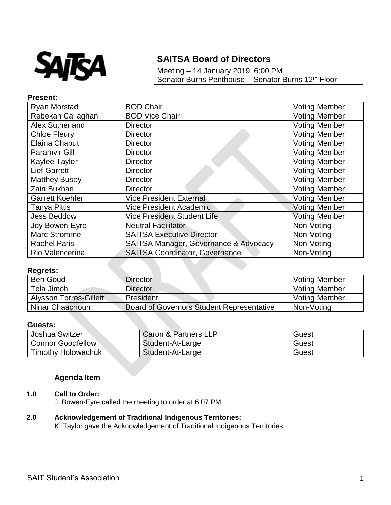

# **SAITSA Board of Directors**

Meeting – 14 January 2019, 6:00 PM Senator Burns Penthouse – Senator Burns 12<sup>th</sup> Floor

## **Present:**

| Ryan Morstad           | <b>BOD Chair</b>                      | <b>Voting Member</b> |
|------------------------|---------------------------------------|----------------------|
| Rebekah Callaghan      | <b>BOD Vice Chair</b>                 | <b>Voting Member</b> |
| <b>Alex Sutherland</b> | <b>Director</b>                       | <b>Voting Member</b> |
| <b>Chloe Fleury</b>    | <b>Director</b>                       | <b>Voting Member</b> |
| <b>Elaina Chaput</b>   | <b>Director</b>                       | <b>Voting Member</b> |
| <b>Paramvir Gill</b>   | <b>Director</b>                       | <b>Voting Member</b> |
| Kaylee Taylor          | <b>Director</b>                       | <b>Voting Member</b> |
| <b>Lief Garrett</b>    | <b>Director</b>                       | <b>Voting Member</b> |
| <b>Matthey Busby</b>   | <b>Director</b>                       | <b>Voting Member</b> |
| Zain Bukhari           | <b>Director</b>                       | <b>Voting Member</b> |
| <b>Garrett Koehler</b> | <b>Vice President External</b>        | <b>Voting Member</b> |
| <b>Tanya Pittis</b>    | <b>Vice President Academic</b>        | <b>Voting Member</b> |
| <b>Jess Beddow</b>     | Vice President Student Life           | <b>Voting Member</b> |
| Joy Bowen-Eyre         | <b>Neutral Facilitator</b>            | Non-Voting           |
| <b>Marc Stromme</b>    | <b>SAITSA Executive Director</b>      | Non-Voting           |
| <b>Rachel Paris</b>    | SAITSA Manager, Governance & Advocacy | Non-Voting           |
| Rio Valencerina        | <b>SAITSA Coordinator, Governance</b> | Non-Voting           |

## **Regrets:**

| <b>Ben Goud</b>               | <b>Director</b>                                  | <b>Voting Member</b> |
|-------------------------------|--------------------------------------------------|----------------------|
| Tola Jimoh                    | <b>Director</b>                                  | <b>Voting Member</b> |
| <b>Alysson Torres-Gillett</b> | President                                        | <b>Voting Member</b> |
| Ninar Chaachouh               | <b>Board of Governors Student Representative</b> | Non-Voting           |

## **Guests:**

| Joshua Switzer            | Caron & Partners LLP | Guest |
|---------------------------|----------------------|-------|
| <b>Connor Goodfellow</b>  | Student-At-Large     | Guest |
| <b>Timothy Holowachuk</b> | Student-At-Large     | Guest |

## **Agenda Item**

# **1.0 Call to Order:**

J. Bowen-Eyre called the meeting to order at 6:07 PM.

## **2.0 Acknowledgement of Traditional Indigenous Territories:**

K. Taylor gave the Acknowledgement of Traditional Indigenous Territories.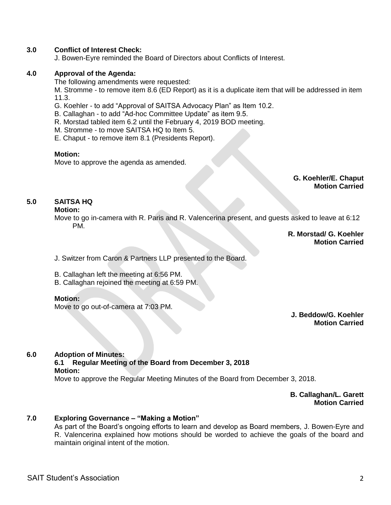## **3.0 Conflict of Interest Check:**

J. Bowen-Eyre reminded the Board of Directors about Conflicts of Interest.

## **4.0 Approval of the Agenda:**

The following amendments were requested:

M. Stromme - to remove item 8.6 (ED Report) as it is a duplicate item that will be addressed in item 11.3.

- G. Koehler to add "Approval of SAITSA Advocacy Plan" as Item 10.2.
- B. Callaghan to add "Ad-hoc Committee Update" as item 9.5.
- R. Morstad tabled item 6.2 until the February 4, 2019 BOD meeting.
- M. Stromme to move SAITSA HQ to Item 5.
- E. Chaput to remove item 8.1 (Presidents Report).

## **Motion:**

Move to approve the agenda as amended.

**G. Koehler/E. Chaput Motion Carried**

# **5.0 SAITSA HQ**

#### **Motion:**

Move to go in-camera with R. Paris and R. Valencerina present, and guests asked to leave at 6:12 PM.

> **R. Morstad/ G. Koehler Motion Carried**

J. Switzer from Caron & Partners LLP presented to the Board.

- B. Callaghan left the meeting at 6:56 PM.
- B. Callaghan rejoined the meeting at 6:59 PM.

#### **Motion:**

Move to go out-of-camera at 7:03 PM.

**J. Beddow/G. Koehler Motion Carried**

#### **6.0 Adoption of Minutes:**

# **6.1 Regular Meeting of the Board from December 3, 2018**

#### **Motion:**

Move to approve the Regular Meeting Minutes of the Board from December 3, 2018.

**B. Callaghan/L. Garett Motion Carried**

#### **7.0 Exploring Governance – "Making a Motion"**

As part of the Board's ongoing efforts to learn and develop as Board members, J. Bowen-Eyre and R. Valencerina explained how motions should be worded to achieve the goals of the board and maintain original intent of the motion.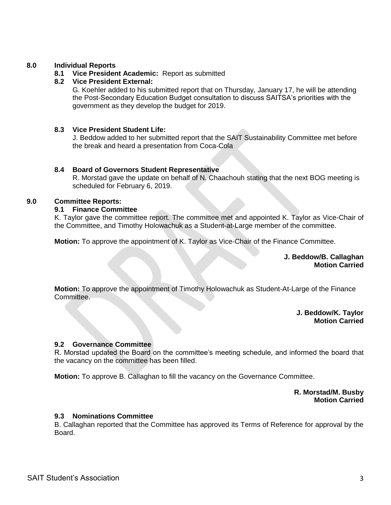## **8.0 Individual Reports**

## **8.1 Vice President Academic:** Report as submitted

#### **8.2 Vice President External:**

G. Koehler added to his submitted report that on Thursday, January 17, he will be attending the Post-Secondary Education Budget consultation to discuss SAITSA's priorities with the government as they develop the budget for 2019.

#### **8.3 Vice President Student Life:**

J. Beddow added to her submitted report that the SAIT Sustainability Committee met before the break and heard a presentation from Coca-Cola

#### **8.4 Board of Governors Student Representative**

R. Morstad gave the update on behalf of N. Chaachouh stating that the next BOG meeting is scheduled for February 6, 2019.

#### **9.0 Committee Reports:**

#### **9.1 Finance Committee**

K. Taylor gave the committee report. The committee met and appointed K. Taylor as Vice-Chair of the Committee, and Timothy Holowachuk as a Student-at-Large member of the committee.

**Motion:** To approve the appointment of K. Taylor as Vice-Chair of the Finance Committee.

**J. Beddow/B. Callaghan Motion Carried**

**Motion:** To approve the appointment of Timothy Holowachuk as Student-At-Large of the Finance Committee.

> **J. Beddow/K. Taylor Motion Carried**

## **9.2 Governance Committee**

R. Morstad updated the Board on the committee's meeting schedule, and informed the board that the vacancy on the committee has been filled.

**Motion:** To approve B. Callaghan to fill the vacancy on the Governance Committee.

**R. Morstad/M. Busby Motion Carried**

#### **9.3 Nominations Committee**

B. Callaghan reported that the Committee has approved its Terms of Reference for approval by the Board.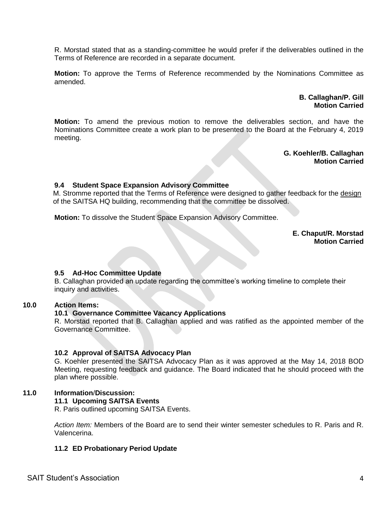R. Morstad stated that as a standing-committee he would prefer if the deliverables outlined in the Terms of Reference are recorded in a separate document.

**Motion:** To approve the Terms of Reference recommended by the Nominations Committee as amended.

> **B. Callaghan/P. Gill Motion Carried**

**Motion:** To amend the previous motion to remove the deliverables section, and have the Nominations Committee create a work plan to be presented to the Board at the February 4, 2019 meeting.

> **G. Koehler/B. Callaghan Motion Carried**

## **9.4 Student Space Expansion Advisory Committee**

M. Stromme reported that the Terms of Reference were designed to gather feedback for the design of the SAITSA HQ building, recommending that the committee be dissolved.

**Motion:** To dissolve the Student Space Expansion Advisory Committee.

**E. Chaput/R. Morstad Motion Carried**

#### **9.5 Ad-Hoc Committee Update**

B. Callaghan provided an update regarding the committee's working timeline to complete their inquiry and activities.

#### **10.0 Action Items:**

#### **10.1 Governance Committee Vacancy Applications**

R. Morstad reported that B. Callaghan applied and was ratified as the appointed member of the Governance Committee.

#### **10.2 Approval of SAITSA Advocacy Plan**

G. Koehler presented the SAITSA Advocacy Plan as it was approved at the May 14, 2018 BOD Meeting, requesting feedback and guidance. The Board indicated that he should proceed with the plan where possible.

# **11.0 Information**/**Discussion:**

## **11.1 Upcoming SAITSA Events**

R. Paris outlined upcoming SAITSA Events.

*Action Item:* Members of the Board are to send their winter semester schedules to R. Paris and R. Valencerina.

#### **11.2 ED Probationary Period Update**